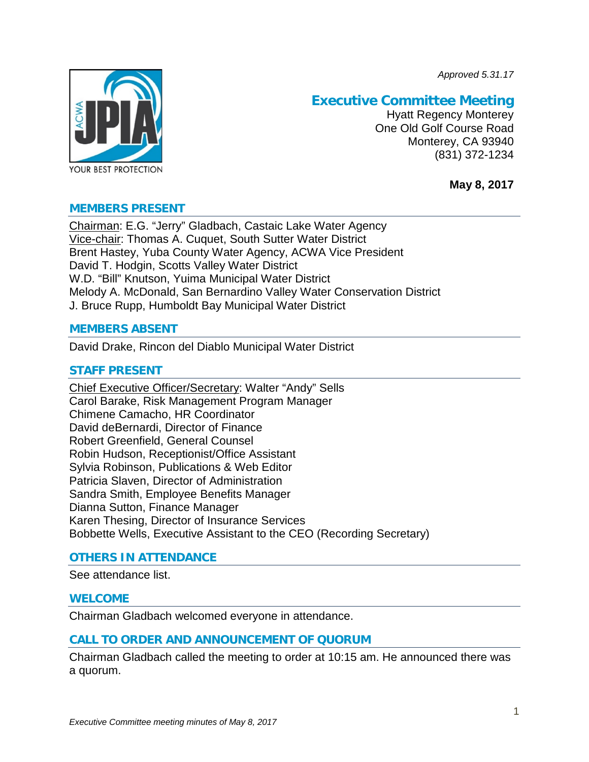*Approved 5.31.17*



# **Executive Committee Meeting**

Hyatt Regency Monterey One Old Golf Course Road Monterey, CA 93940 (831) 372-1234

**May 8, 2017**

## **MEMBERS PRESENT**

Chairman: E.G. "Jerry" Gladbach, Castaic Lake Water Agency Vice-chair: Thomas A. Cuquet, South Sutter Water District Brent Hastey, Yuba County Water Agency, ACWA Vice President David T. Hodgin, Scotts Valley Water District W.D. "Bill" Knutson, Yuima Municipal Water District Melody A. McDonald, San Bernardino Valley Water Conservation District J. Bruce Rupp, Humboldt Bay Municipal Water District

## **MEMBERS ABSENT**

David Drake, Rincon del Diablo Municipal Water District

## **STAFF PRESENT**

Chief Executive Officer/Secretary: Walter "Andy" Sells Carol Barake, Risk Management Program Manager Chimene Camacho, HR Coordinator David deBernardi, Director of Finance Robert Greenfield, General Counsel Robin Hudson, Receptionist/Office Assistant Sylvia Robinson, Publications & Web Editor Patricia Slaven, Director of Administration Sandra Smith, Employee Benefits Manager Dianna Sutton, Finance Manager Karen Thesing, Director of Insurance Services Bobbette Wells, Executive Assistant to the CEO (Recording Secretary)

## **OTHERS IN ATTENDANCE**

See attendance list.

## **WELCOME**

Chairman Gladbach welcomed everyone in attendance.

## **CALL TO ORDER AND ANNOUNCEMENT OF QUORUM**

Chairman Gladbach called the meeting to order at 10:15 am. He announced there was a quorum.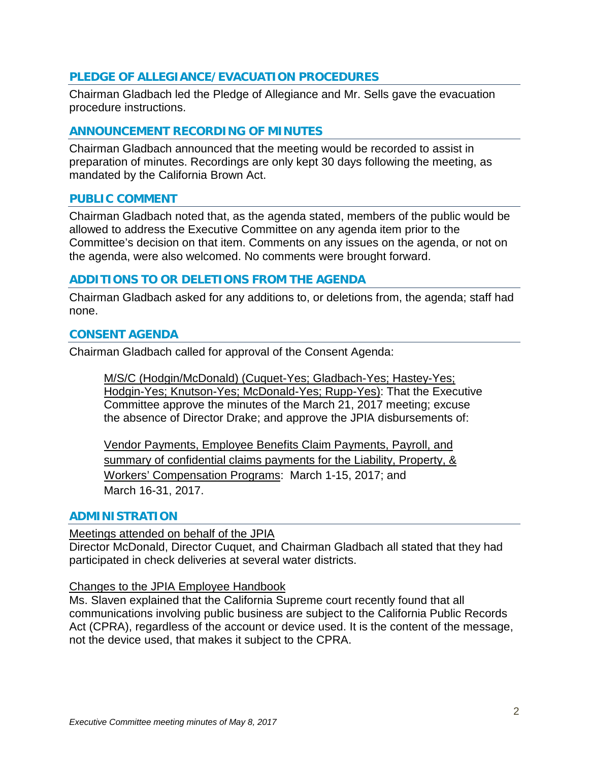## **PLEDGE OF ALLEGIANCE/EVACUATION PROCEDURES**

Chairman Gladbach led the Pledge of Allegiance and Mr. Sells gave the evacuation procedure instructions.

## **ANNOUNCEMENT RECORDING OF MINUTES**

Chairman Gladbach announced that the meeting would be recorded to assist in preparation of minutes. Recordings are only kept 30 days following the meeting, as mandated by the California Brown Act.

## **PUBLIC COMMENT**

Chairman Gladbach noted that, as the agenda stated, members of the public would be allowed to address the Executive Committee on any agenda item prior to the Committee's decision on that item. Comments on any issues on the agenda, or not on the agenda, were also welcomed. No comments were brought forward.

## **ADDITIONS TO OR DELETIONS FROM THE AGENDA**

Chairman Gladbach asked for any additions to, or deletions from, the agenda; staff had none.

## **CONSENT AGENDA**

Chairman Gladbach called for approval of the Consent Agenda:

M/S/C (Hodgin/McDonald) (Cuquet-Yes; Gladbach-Yes; Hastey-Yes; Hodgin-Yes; Knutson-Yes; McDonald-Yes; Rupp-Yes): That the Executive Committee approve the minutes of the March 21, 2017 meeting; excuse the absence of Director Drake; and approve the JPIA disbursements of:

Vendor Payments, Employee Benefits Claim Payments, Payroll, and summary of confidential claims payments for the Liability, Property, & Workers' Compensation Programs: March 1-15, 2017; and March 16-31, 2017.

#### **ADMINISTRATION**

#### Meetings attended on behalf of the JPIA

Director McDonald, Director Cuquet, and Chairman Gladbach all stated that they had participated in check deliveries at several water districts.

#### Changes to the JPIA Employee Handbook

Ms. Slaven explained that the California Supreme court recently found that all communications involving public business are subject to the California Public Records Act (CPRA), regardless of the account or device used. It is the content of the message, not the device used, that makes it subject to the CPRA.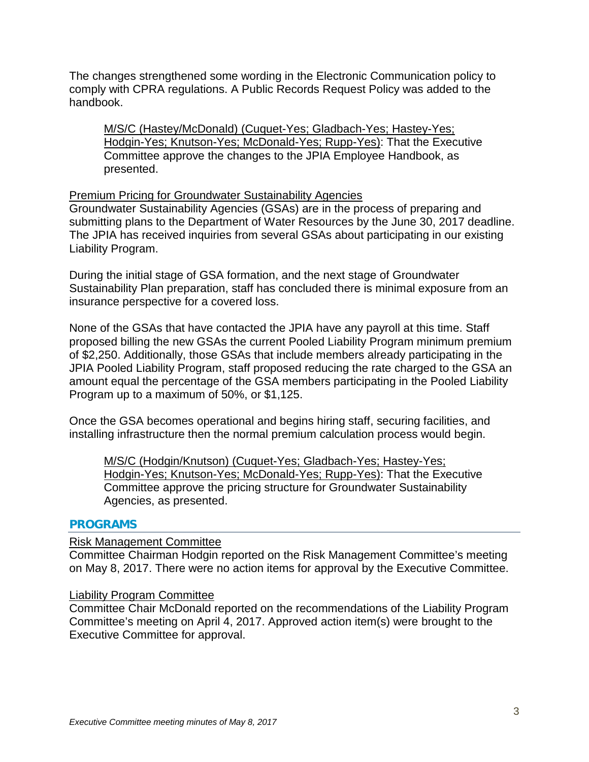The changes strengthened some wording in the Electronic Communication policy to comply with CPRA regulations. A Public Records Request Policy was added to the handbook.

M/S/C (Hastey/McDonald) (Cuquet-Yes; Gladbach-Yes; Hastey-Yes; Hodgin-Yes; Knutson-Yes; McDonald-Yes; Rupp-Yes): That the Executive Committee approve the changes to the JPIA Employee Handbook, as presented.

## Premium Pricing for Groundwater Sustainability Agencies

Groundwater Sustainability Agencies (GSAs) are in the process of preparing and submitting plans to the Department of Water Resources by the June 30, 2017 deadline. The JPIA has received inquiries from several GSAs about participating in our existing Liability Program.

During the initial stage of GSA formation, and the next stage of Groundwater Sustainability Plan preparation, staff has concluded there is minimal exposure from an insurance perspective for a covered loss.

None of the GSAs that have contacted the JPIA have any payroll at this time. Staff proposed billing the new GSAs the current Pooled Liability Program minimum premium of \$2,250. Additionally, those GSAs that include members already participating in the JPIA Pooled Liability Program, staff proposed reducing the rate charged to the GSA an amount equal the percentage of the GSA members participating in the Pooled Liability Program up to a maximum of 50%, or \$1,125.

Once the GSA becomes operational and begins hiring staff, securing facilities, and installing infrastructure then the normal premium calculation process would begin.

M/S/C (Hodgin/Knutson) (Cuquet-Yes; Gladbach-Yes; Hastey-Yes; Hodgin-Yes; Knutson-Yes; McDonald-Yes; Rupp-Yes): That the Executive Committee approve the pricing structure for Groundwater Sustainability Agencies, as presented.

## **PROGRAMS**

## Risk Management Committee

Committee Chairman Hodgin reported on the Risk Management Committee's meeting on May 8, 2017. There were no action items for approval by the Executive Committee.

#### Liability Program Committee

Committee Chair McDonald reported on the recommendations of the Liability Program Committee's meeting on April 4, 2017. Approved action item(s) were brought to the Executive Committee for approval.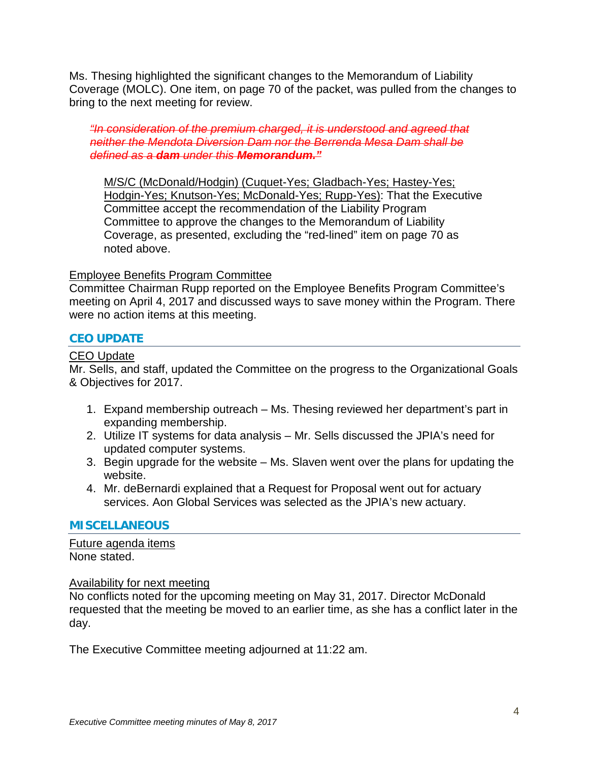Ms. Thesing highlighted the significant changes to the Memorandum of Liability Coverage (MOLC). One item, on page 70 of the packet, was pulled from the changes to bring to the next meeting for review.

*"In consideration of the premium charged, it is understood and agreed that neither the Mendota Diversion Dam nor the Berrenda Mesa Dam shall be defined as a dam under this Memorandum."*

M/S/C (McDonald/Hodgin) (Cuquet-Yes; Gladbach-Yes; Hastey-Yes; Hodgin-Yes; Knutson-Yes; McDonald-Yes; Rupp-Yes): That the Executive Committee accept the recommendation of the Liability Program Committee to approve the changes to the Memorandum of Liability Coverage, as presented, excluding the "red-lined" item on page 70 as noted above.

## Employee Benefits Program Committee

Committee Chairman Rupp reported on the Employee Benefits Program Committee's meeting on April 4, 2017 and discussed ways to save money within the Program. There were no action items at this meeting.

## **CEO UPDATE**

## CEO Update

Mr. Sells, and staff, updated the Committee on the progress to the Organizational Goals & Objectives for 2017.

- 1. Expand membership outreach Ms. Thesing reviewed her department's part in expanding membership.
- 2. Utilize IT systems for data analysis Mr. Sells discussed the JPIA's need for updated computer systems.
- 3. Begin upgrade for the website Ms. Slaven went over the plans for updating the website.
- 4. Mr. deBernardi explained that a Request for Proposal went out for actuary services. Aon Global Services was selected as the JPIA's new actuary.

## **MISCELLANEOUS**

Future agenda items None stated.

#### Availability for next meeting

No conflicts noted for the upcoming meeting on May 31, 2017. Director McDonald requested that the meeting be moved to an earlier time, as she has a conflict later in the day.

The Executive Committee meeting adjourned at 11:22 am.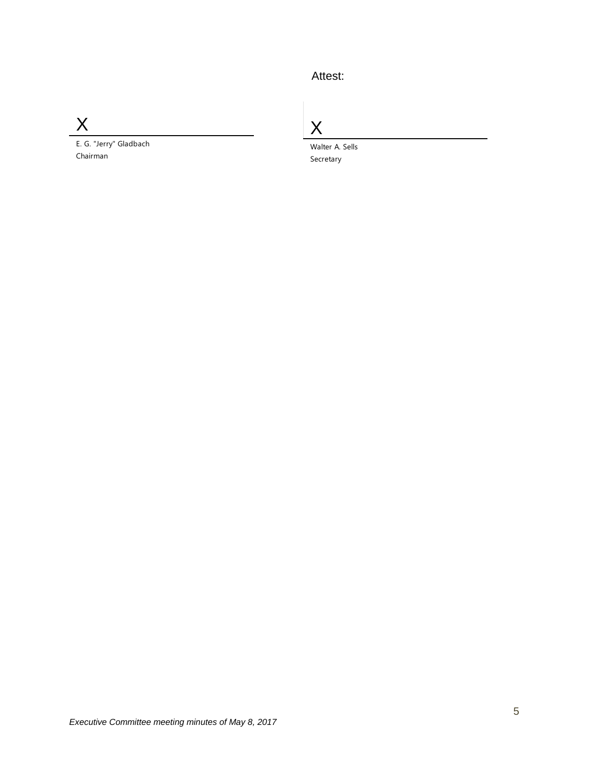# Attest:

X

E. G. "Jerry" Gladbach Chairman

X

Walter A. Sells Secretary